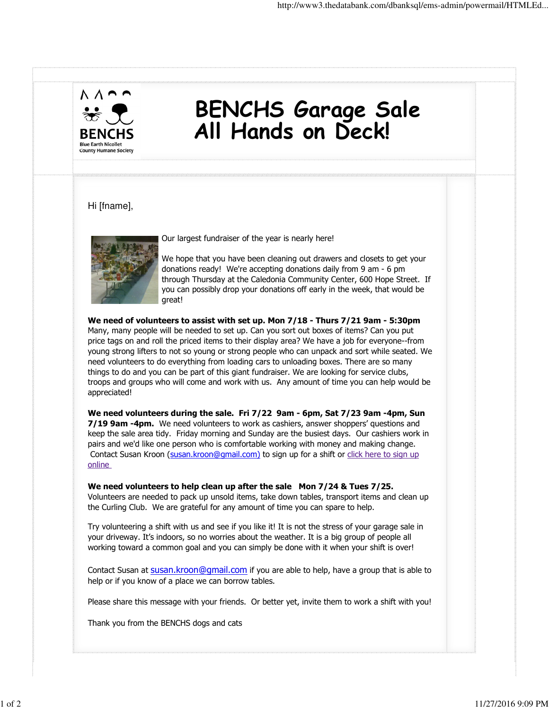